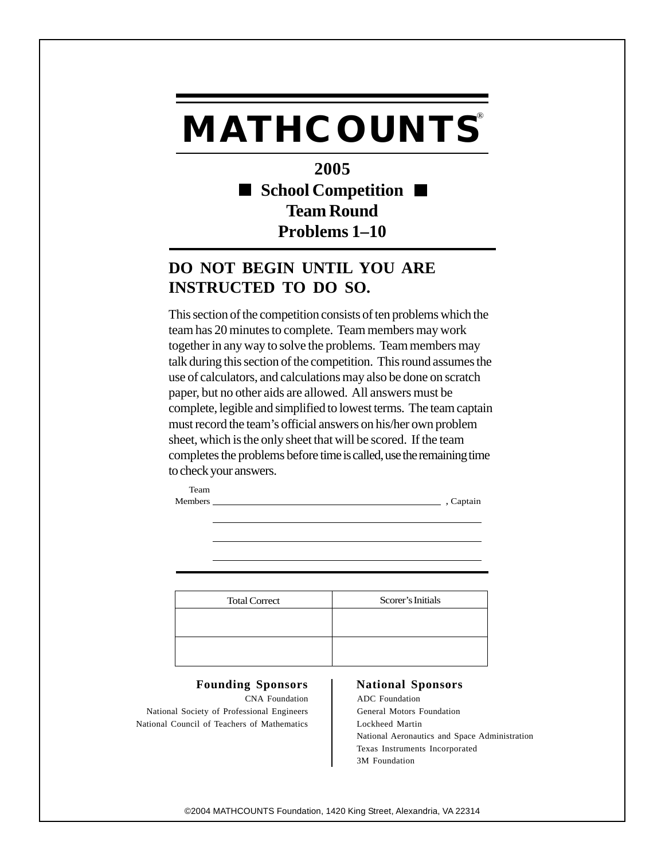## **MATHCOUNTS®**

**2005** ■ School Competition ■ **Team Round Problems 1–10**

## **DO NOT BEGIN UNTIL YOU ARE INSTRUCTED TO DO SO.**

This section of the competition consists of ten problems which the team has 20 minutes to complete. Team members may work together in any way to solve the problems. Team members may talk during this section of the competition. This round assumes the use of calculators, and calculations may also be done on scratch paper, but no other aids are allowed. All answers must be complete, legible and simplified to lowest terms. The team captain must record the team's official answers on his/her own problem sheet, which is the only sheet that will be scored. If the team completes the problems before time is called, use the remaining time to check your answers.

Team Members , Captain

Total Correct Scorer's Initials

## Founding Sponsors | National Sponsors

National Society of Professional Engineers General Motors Foundation National Council of Teachers of Mathematics Lockheed Martin

CNA Foundation ADC Foundation National Aeronautics and Space Administration Texas Instruments Incorporated 3M Foundation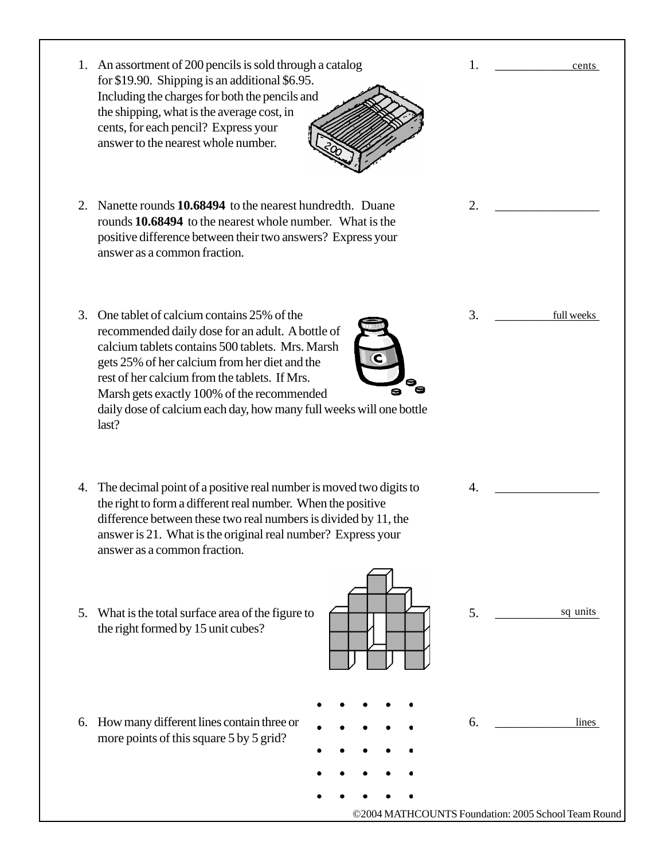